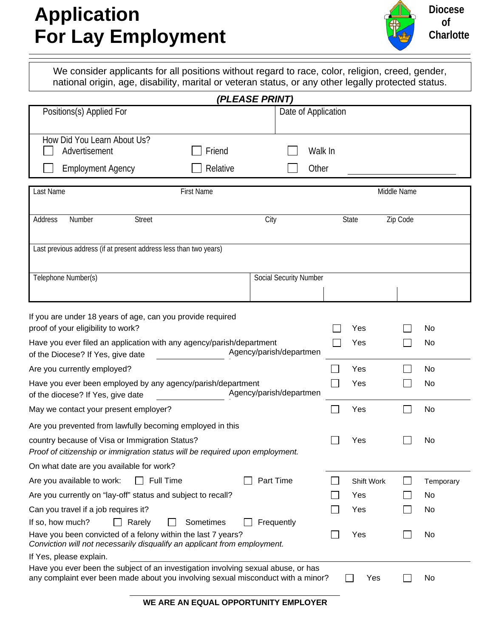### **Application For Lay Employment**



**Diocese of Charlotte**

We consider applicants for all positions without regard to race, color, religion, creed, gender, national origin, age, disability, marital or veteran status, or any other legally protected status.

|                                                                                                                                                                       |                               | (PLEASE PRINT)          |                     |  |            |             |           |
|-----------------------------------------------------------------------------------------------------------------------------------------------------------------------|-------------------------------|-------------------------|---------------------|--|------------|-------------|-----------|
| Positions(s) Applied For                                                                                                                                              |                               |                         | Date of Application |  |            |             |           |
|                                                                                                                                                                       |                               |                         |                     |  |            |             |           |
| How Did You Learn About Us?<br>Advertisement                                                                                                                          | Friend                        |                         | Walk In             |  |            |             |           |
|                                                                                                                                                                       |                               |                         |                     |  |            |             |           |
| <b>Employment Agency</b>                                                                                                                                              | Relative                      |                         | Other               |  |            |             |           |
| Last Name                                                                                                                                                             | <b>First Name</b>             |                         |                     |  |            | Middle Name |           |
|                                                                                                                                                                       |                               |                         |                     |  |            |             |           |
| Address<br>Number<br><b>Street</b>                                                                                                                                    |                               | City                    |                     |  | State      | Zip Code    |           |
|                                                                                                                                                                       |                               |                         |                     |  |            |             |           |
| Last previous address (if at present address less than two years)                                                                                                     |                               |                         |                     |  |            |             |           |
|                                                                                                                                                                       |                               |                         |                     |  |            |             |           |
| Telephone Number(s)                                                                                                                                                   |                               | Social Security Number  |                     |  |            |             |           |
|                                                                                                                                                                       |                               |                         |                     |  |            |             |           |
| If you are under 18 years of age, can you provide required                                                                                                            |                               |                         |                     |  |            |             |           |
| proof of your eligibility to work?                                                                                                                                    |                               |                         |                     |  | Yes        |             | No        |
| Have you ever filed an application with any agency/parish/department                                                                                                  |                               |                         |                     |  | Yes        |             | No        |
| of the Diocese? If Yes, give date                                                                                                                                     |                               | Agency/parish/departmen |                     |  |            |             |           |
| Are you currently employed?                                                                                                                                           |                               |                         |                     |  | Yes        |             | No        |
| Have you ever been employed by any agency/parish/department<br>Agency/parish/departmen<br>of the diocese? If Yes, give date                                           |                               |                         |                     |  | Yes        |             | No        |
| May we contact your present employer?                                                                                                                                 |                               |                         |                     |  | Yes        |             | No        |
|                                                                                                                                                                       |                               |                         |                     |  |            |             |           |
| Are you prevented from lawfully becoming employed in this<br>country because of Visa or Immigration Status?                                                           |                               |                         |                     |  | Yes        |             | No        |
| Proof of citizenship or immigration status will be required upon employment.                                                                                          |                               |                         |                     |  |            |             |           |
| On what date are you available for work?                                                                                                                              |                               |                         |                     |  |            |             |           |
| $\Box$ Full Time<br>Are you available to work:                                                                                                                        |                               | Part Time               |                     |  | Shift Work |             | Temporary |
| Are you currently on "lay-off" status and subject to recall?                                                                                                          |                               |                         |                     |  | Yes        |             | No        |
| Can you travel if a job requires it?                                                                                                                                  |                               |                         |                     |  | Yes        |             | No        |
| If so, how much?<br>Rarely                                                                                                                                            | Sometimes                     | Frequently              |                     |  |            |             |           |
| Have you been convicted of a felony within the last 7 years?<br>Conviction will not necessarily disqualify an applicant from employment.                              |                               |                         |                     |  | Yes        |             | No        |
| If Yes, please explain.                                                                                                                                               |                               |                         |                     |  |            |             |           |
| Have you ever been the subject of an investigation involving sexual abuse, or has<br>any complaint ever been made about you involving sexual misconduct with a minor? |                               |                         |                     |  | Yes        |             | No        |
|                                                                                                                                                                       |                               |                         |                     |  |            |             |           |
|                                                                                                                                                                       | AN EQUAL ABBARTINITY FUBLOVER |                         |                     |  |            |             |           |

**WE ARE AN EQUAL OPPORTUNITY EMPLOYER**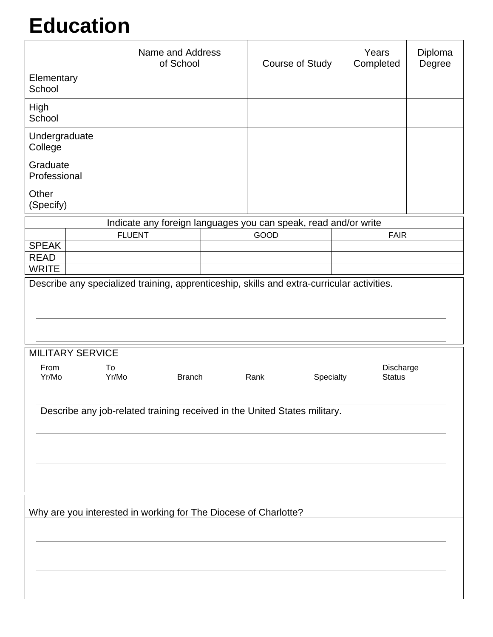## **Education**

|                          | Name and Address<br>of School                                                              | Course of Study   | Years<br>Completed | Diploma<br>Degree |  |  |
|--------------------------|--------------------------------------------------------------------------------------------|-------------------|--------------------|-------------------|--|--|
| Elementary<br>School     |                                                                                            |                   |                    |                   |  |  |
| High<br>School           |                                                                                            |                   |                    |                   |  |  |
| Undergraduate<br>College |                                                                                            |                   |                    |                   |  |  |
| Graduate<br>Professional |                                                                                            |                   |                    |                   |  |  |
| Other<br>(Specify)       |                                                                                            |                   |                    |                   |  |  |
|                          | Indicate any foreign languages you can speak, read and/or write                            |                   |                    |                   |  |  |
|                          | <b>FLUENT</b>                                                                              | GOOD              | <b>FAIR</b>        |                   |  |  |
| <b>SPEAK</b>             |                                                                                            |                   |                    |                   |  |  |
| <b>READ</b>              |                                                                                            |                   |                    |                   |  |  |
| <b>WRITE</b>             |                                                                                            |                   |                    |                   |  |  |
|                          | Describe any specialized training, apprenticeship, skills and extra-curricular activities. |                   |                    |                   |  |  |
|                          |                                                                                            |                   |                    |                   |  |  |
|                          |                                                                                            |                   |                    |                   |  |  |
|                          |                                                                                            |                   |                    |                   |  |  |
|                          |                                                                                            |                   |                    |                   |  |  |
|                          |                                                                                            |                   |                    |                   |  |  |
| <b>MILITARY SERVICE</b>  |                                                                                            |                   |                    |                   |  |  |
| From<br>To               |                                                                                            |                   | Discharge          |                   |  |  |
| Yr/Mo                    | Yr/Mo<br><b>Branch</b>                                                                     | Rank<br>Specialty | <b>Status</b>      |                   |  |  |
|                          |                                                                                            |                   |                    |                   |  |  |
|                          |                                                                                            |                   |                    |                   |  |  |
|                          | Describe any job-related training received in the United States military.                  |                   |                    |                   |  |  |
|                          |                                                                                            |                   |                    |                   |  |  |
|                          |                                                                                            |                   |                    |                   |  |  |
|                          |                                                                                            |                   |                    |                   |  |  |
|                          |                                                                                            |                   |                    |                   |  |  |
|                          |                                                                                            |                   |                    |                   |  |  |
|                          |                                                                                            |                   |                    |                   |  |  |
|                          |                                                                                            |                   |                    |                   |  |  |
|                          |                                                                                            |                   |                    |                   |  |  |
|                          | Why are you interested in working for The Diocese of Charlotte?                            |                   |                    |                   |  |  |
|                          |                                                                                            |                   |                    |                   |  |  |
|                          |                                                                                            |                   |                    |                   |  |  |
|                          |                                                                                            |                   |                    |                   |  |  |
|                          |                                                                                            |                   |                    |                   |  |  |
|                          |                                                                                            |                   |                    |                   |  |  |
|                          |                                                                                            |                   |                    |                   |  |  |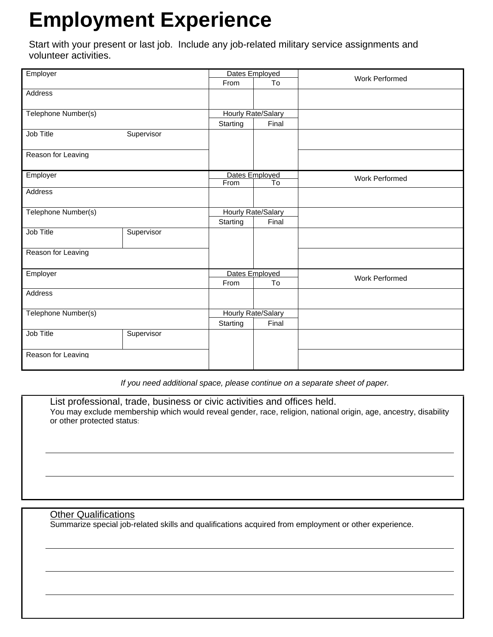## **Employment Experience**

Start with your present or last job. Include any job-related military service assignments and volunteer activities.

| Employer            |            | Dates Employed            |                    | <b>Work Performed</b> |  |
|---------------------|------------|---------------------------|--------------------|-----------------------|--|
|                     |            | From                      | To                 |                       |  |
| <b>Address</b>      |            |                           |                    |                       |  |
|                     |            |                           |                    |                       |  |
| Telephone Number(s) |            |                           | Hourly Rate/Salary |                       |  |
|                     |            | Starting                  | Final              |                       |  |
| Job Title           | Supervisor |                           |                    |                       |  |
|                     |            |                           |                    |                       |  |
| Reason for Leaving  |            |                           |                    |                       |  |
|                     |            |                           |                    |                       |  |
| Employer            |            | Dates Employed            |                    | <b>Work Performed</b> |  |
|                     |            | From                      | To                 |                       |  |
| Address             |            |                           |                    |                       |  |
|                     |            |                           |                    |                       |  |
| Telephone Number(s) |            | <b>Hourly Rate/Salary</b> |                    |                       |  |
|                     |            | Starting                  | Final              |                       |  |
| <b>Job Title</b>    | Supervisor |                           |                    |                       |  |
|                     |            |                           |                    |                       |  |
| Reason for Leaving  |            |                           |                    |                       |  |
|                     |            |                           |                    |                       |  |
| Employer            |            | Dates Employed            |                    | <b>Work Performed</b> |  |
|                     |            | From                      | To                 |                       |  |
| <b>Address</b>      |            |                           |                    |                       |  |
|                     |            |                           |                    |                       |  |
| Telephone Number(s) |            | Hourly Rate/Salary        |                    |                       |  |
|                     |            | Starting                  | Final              |                       |  |
| Job Title           | Supervisor |                           |                    |                       |  |
|                     |            |                           |                    |                       |  |
| Reason for Leaving  |            |                           |                    |                       |  |
|                     |            |                           |                    |                       |  |

*If you need additional space, please continue on a separate sheet of paper.* 

List professional, trade, business or civic activities and offices held. You may exclude membership which would reveal gender, race, religion, national origin, age, ancestry, disability or other protected status:

#### Other Qualifications

Summarize special job-related skills and qualifications acquired from employment or other experience.